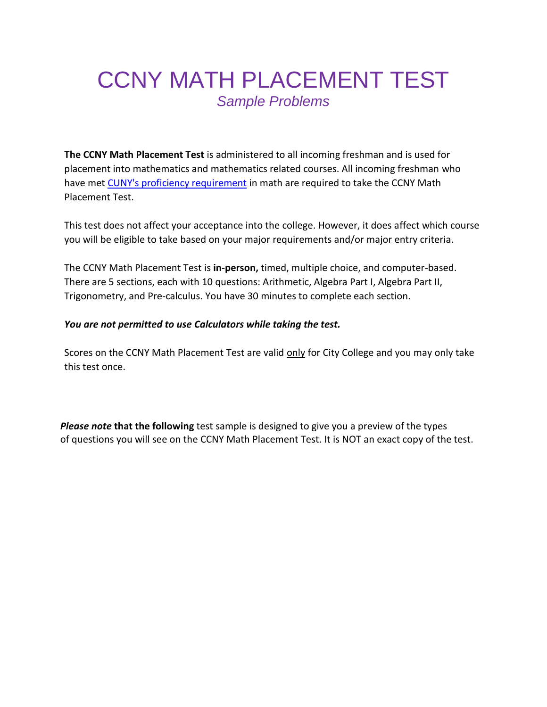## CCNY MATH PLACEMENT TEST *Sample Problems*

**The CCNY Math Placement Test** is administered to all incoming freshman and is used for placement into mathematics and mathematics related courses. All incoming freshman who have met [CUNY's proficiency requirement](https://www.cuny.edu/academics/testing/) in math are required to take the CCNY Math Placement Test.

This test does not affect your acceptance into the college. However, it does affect which course you will be eligible to take based on your major requirements and/or major entry criteria.

The CCNY Math Placement Test is **in-person,** timed, multiple choice, and computer-based. There are 5 sections, each with 10 questions: Arithmetic, Algebra Part I, Algebra Part II, Trigonometry, and Pre-calculus. You have 30 minutes to complete each section.

## *You are not permitted to use Calculators while taking the test.*

Scores on the CCNY Math Placement Test are valid only for City College and you may only take this test once.

*Please note* **that the following** test sample is designed to give you a preview of the types of questions you will see on the CCNY Math Placement Test. It is NOT an exact copy of the test.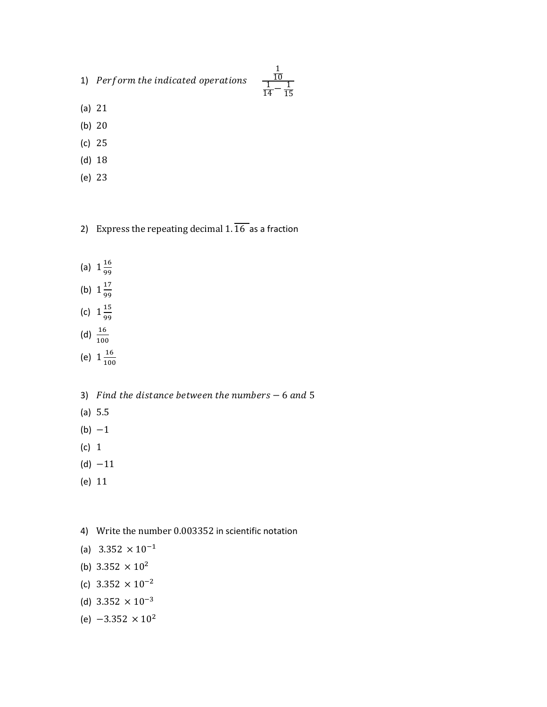1) Perform the indicated operations

1 10  $\frac{1}{14} - \frac{1}{15}$ 15

- (a) 21
- (b) 20
- (c) 25
- (d) 18
- (e) 23
- 2) Express the repeating decimal  $1.\overline{16}$  as a fraction
- (a)  $1\frac{16}{99}$ 99
- (b)  $1\frac{17}{00}$
- 99
- (c)  $1\frac{15}{20}$ 99
- (d)  $\frac{16}{100}$
- (e)  $1\frac{16}{100}$ 100
- 3) Find the distance between the numbers  $-6$  and 5
- (a) 5.5
- $(b) -1$
- (c) 1
- $(d) -11$
- (e) 11
- 4) Write the number 0.003352 in scientific notation
- (a)  $3.352 \times 10^{-1}$
- (b)  $3.352 \times 10^2$
- (c)  $3.352 \times 10^{-2}$
- (d)  $3.352 \times 10^{-3}$
- (e)  $-3.352 \times 10^2$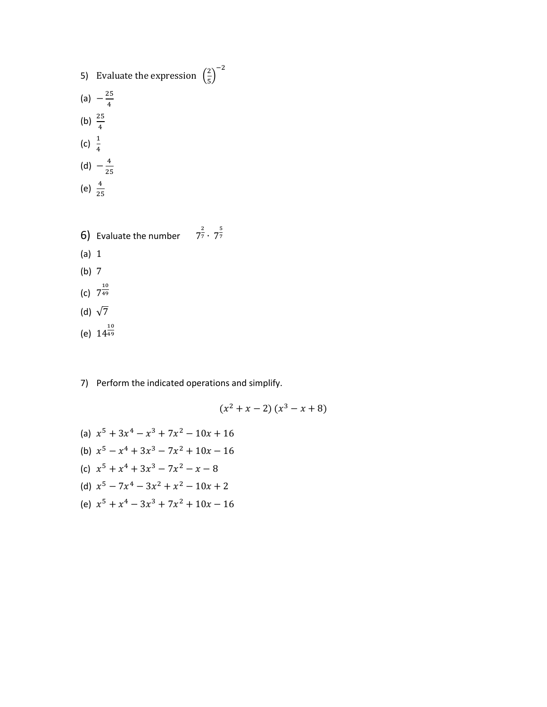- 5) Evaluate the expression  $\left(\frac{2}{5}\right)$  $\frac{2}{5}$ )<sup>-2</sup> (a)  $-\frac{25}{4}$ 4 (b)  $\frac{25}{4}$ (c)  $\frac{1}{4}$ (d)  $-\frac{4}{3!}$ 25
- (e)  $\frac{4}{25}$
- **6)** Evaluate the number  $7^{\frac{2}{7}} \cdot 7^{\frac{5}{7}}$ 7 (a) 1 (b) 7 (c)  $7^{\frac{10}{49}}$ 49 (d)  $\sqrt{7}$ (e)  $14^{\frac{10}{49}}$ 49
- 7) Perform the indicated operations and simplify.

$$
(x^2 + x - 2) (x^3 - x + 8)
$$

(a)  $x^5 + 3x^4 - x^3 + 7x^2 - 10x + 16$ (b)  $x^5 - x^4 + 3x^3 - 7x^2 + 10x - 16$ (c)  $x^5 + x^4 + 3x^3 - 7x^2 - x - 8$ (d)  $x^5 - 7x^4 - 3x^2 + x^2 - 10x + 2$ (e)  $x^5 + x^4 - 3x^3 + 7x^2 + 10x - 16$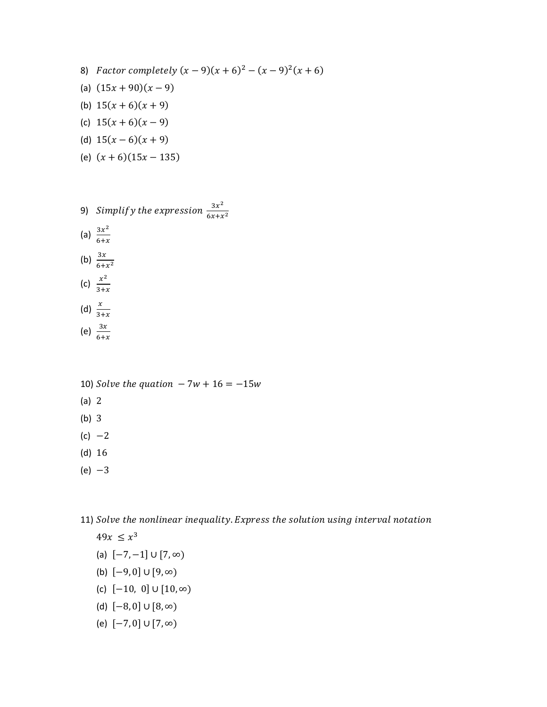- 8) Factor completely  $(x 9)(x + 6)^2 (x 9)^2(x + 6)$
- (a)  $(15x + 90)(x 9)$
- (b)  $15(x+6)(x+9)$
- (c)  $15(x+6)(x-9)$
- (d)  $15(x-6)(x+9)$
- (e)  $(x + 6)(15x 135)$
- 9) Simplify the expression  $\frac{3x^2}{\sqrt{3}}$  $6x + x^2$
- (a)  $\frac{3x^2}{6}$  $6+x$
- (b)  $\frac{3x}{6+x^2}$ (c)  $\frac{x^2}{2!}$
- $3+x$
- (d)  $\frac{x}{3+x}$ (e)  $\frac{3x}{6+x}$
- 
- 10) Solve the quation  $-7w + 16 = -15w$
- (a) 2
- (b) 3
- $(c) -2$
- (d) 16
- $(e) -3$

11) Solve the nonlinear inequality. Express the solution using interval notation

$$
49x \le x^3
$$

- (a)  $[-7, -1] \cup [7, \infty)$
- (b)  $[-9, 0]$  ∪  $[9, ∞)$
- (c)  $[-10, 0]$  ∪  $[10, \infty)$
- (d) [−8, 0] ∪ [8, ∞)
- (e) [−7, 0] ∪ [7, ∞)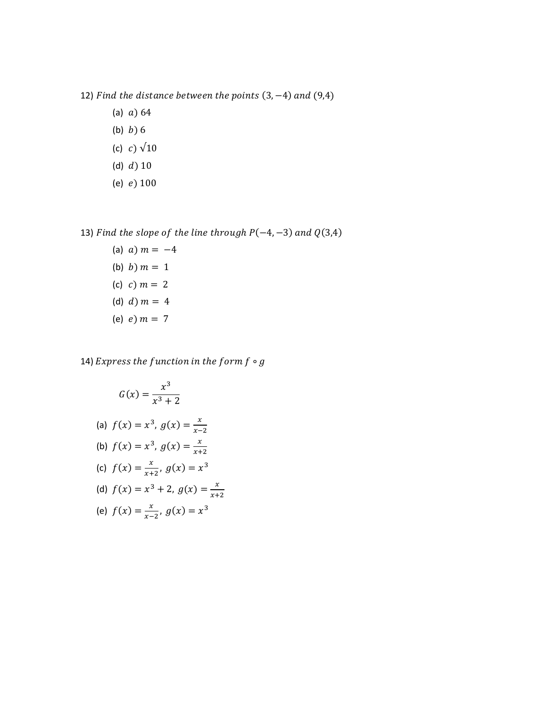- 12) Find the distance between the points  $(3, -4)$  and  $(9,4)$ 
	- (a)  $a) 64$
	- (b)  $b)$  6
	- (c)  $c) \sqrt{10}$
	- (d)  $d$ )  $10$
	- (e)  $e)$  100

13) Find the slope of the line through  $P(-4, -3)$  and  $Q(3,4)$ 

(a)  $a)$   $m = -4$ (b)  $b)$   $m = 1$ (c)  $c)$   $m = 2$ (d)  $d$ )  $m = 4$ (e)  $e$ )  $m = 7$ 

14) Express the function in the form  $f \circ g$ 

 $x-2$ 

$$
G(x) = \frac{x^3}{x^3 + 2}
$$
  
(a)  $f(x) = x^3$ ,  $g(x) = \frac{x}{x}$ 

- (b)  $f(x) = x^3$ ,  $g(x) = \frac{x}{x}$  $x+2$
- (c)  $f(x) = \frac{x}{x+1}$  $\frac{x}{x+2}$ ,  $g(x) = x^3$
- (d)  $f(x) = x^3 + 2$ ,  $g(x) = \frac{x}{x+1}$  $x+2$

(e) 
$$
f(x) = \frac{x}{x-2}, g(x) = x^3
$$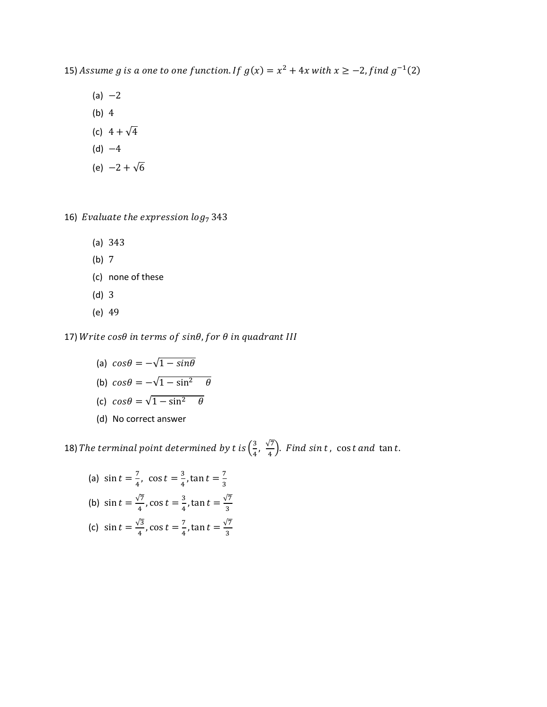15) Assume g is a one to one function. If  $g(x) = x^2 + 4x$  with  $x \ge -2$ , find  $g^{-1}(2)$ 

- $(a) -2$ (b) 4
- (c)  $4 + \sqrt{4}$
- $(d) -4$
- (e)  $-2 + \sqrt{6}$

16) Evaluate the expression  $log_7 343$ 

- (a) 343
- (b) 7
- (c) none of these
- (d) 3
- (e) 49

17) Write  $cos\theta$  in terms of  $sin\theta$ , for  $\theta$  in quadrant III

- (a)  $cos\theta = -\sqrt{1-sin\theta}$
- (b)  $cos\theta = -\sqrt{1 sin^2 \theta}$
- (c)  $cos\theta = \sqrt{1 sin^2 \theta}$
- (d) No correct answer

18) The terminal point determined by t is  $\left(\frac{3}{4}\right)$  $\frac{3}{4}$ ,  $\frac{\sqrt{7}}{4}$  $\frac{17}{4}$ ). *Find sint*, cos*t* and tan*t*.

(a)  $\sin t = \frac{7}{4}$  $\frac{7}{4}$ , cos  $t = \frac{3}{4}$  $\frac{3}{4}$ , tan  $t = \frac{7}{3}$ 3 (b)  $\sin t = \frac{\sqrt{7}}{4}$  $\frac{\sqrt{7}}{4}$ , cos  $t = \frac{3}{4}$  $\frac{3}{4}$ , tan  $t = \frac{\sqrt{7}}{3}$ 3 (c)  $\sin t = \frac{\sqrt{3}}{4}$  $\frac{\sqrt{3}}{4}$ , cos  $t = \frac{7}{4}$  $\frac{7}{4}$ , tan  $t = \frac{\sqrt{7}}{3}$ 3